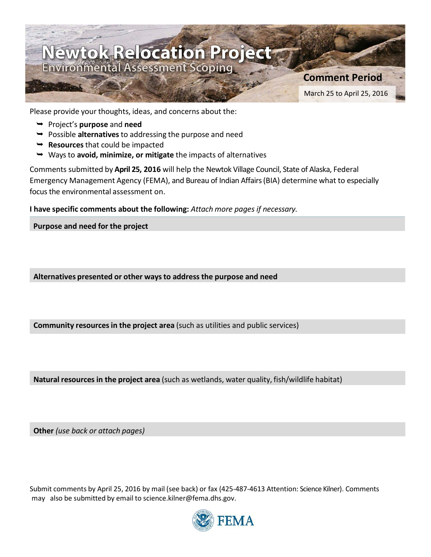

Please provide your thoughts, ideas, and concerns about the:

- Project's **purpose** and **need**
- Possible **alternatives**to addressing the purpose and need
- **► Resources** that could be impacted
- Waysto **avoid, minimize, or mitigate** the impacts of alternatives

Comments submitted by **April 25, 2016** will help the Newtok Village Council, State of Alaska, Federal Emergency Management Agency (FEMA), and Bureau of Indian Affairs(BIA) determine what to especially focusthe environmental assessment on.

**I have specific comments about the following:** *Attach more pages if necessary.*

**Purpose and need for the project**

**Alternatives presented or other waysto address the purpose and need**

**Community resourcesin the project area** (such as utilities and public services)

**Natural resources in the project area** (such as wetlands, water quality, fish/wildlife habitat)

**Other** *(use back or attach pages)*

Submit comments by April 25, 2016 by mail (see back) or fax (425-487-4613 Attention: Science Kilner). Comments may also be submitted by email to science.kilner@fema.dhs.gov.